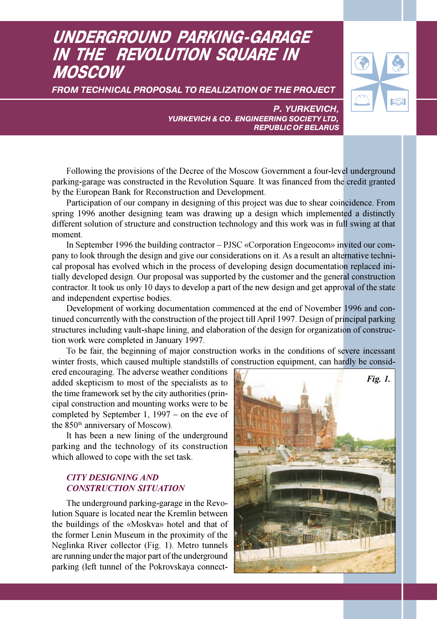# UNDERGROUND PARKING-GARAGE IN THE REVOLUTION SQUARE IN MOSCOW

FROM TECHNICAL PROPOSAL TO REALIZATION OF THE PROJECT



P. YURKEVICH, YURKEVICH & CO. ENGINEERING SOCIETY LTD, REPUBLIC OF BELARUS

Following the provisions of the Decree of the Moscow Government a four-level underground parking-garage was constructed in the Revolution Square. It was financed from the credit granted by the European Bank for Reconstruction and Development.

Participation of our company in designing of this project was due to shear coincidence. From spring 1996 another designing team was drawing up a design which implemented a distinctly different solution of structure and construction technology and this work was in full swing at that moment.

In September 1996 the building contractor – PJSC «Corporation Engeocom» invited our company to look through the design and give our considerations on it. As a result an alternative technical proposal has evolved which in the process of developing design documentation replaced initially developed design. Our proposal was supported by the customer and the general construction contractor. It took us only 10 days to develop a part of the new design and get approval of the state and independent expertise bodies.

Development of working documentation commenced at the end of November 1996 and continued concurrently with the construction of the project till April 1997. Design of principal parking structures including vault-shape lining, and elaboration of the design for organization of construction work were completed in January 1997.

To be fair, the beginning of major construction works in the conditions of severe incessant winter frosts, which caused multiple standstills of construction equipment, can hardly be consid-

ered encouraging. The adverse weather conditions added skepticism to most of the specialists as to the time framework set by the city authorities (principal construction and mounting works were to be completed by September 1, 1997 – on the eve of the  $850<sup>th</sup>$  anniversary of Moscow).

It has been a new lining of the underground parking and the technology of its construction which allowed to cope with the set task.

# CITY DESIGNING AND CONSTRUCTION SITUATION

The underground parking-garage in the Revolution Square is located near the Kremlin between the buildings of the «Moskva» hotel and that of the former Lenin Museum in the proximity of the Neglinka River collector (Fig. 1). Metro tunnels are running under the major part of the underground parking (left tunnel of the Pokrovskaya connect-

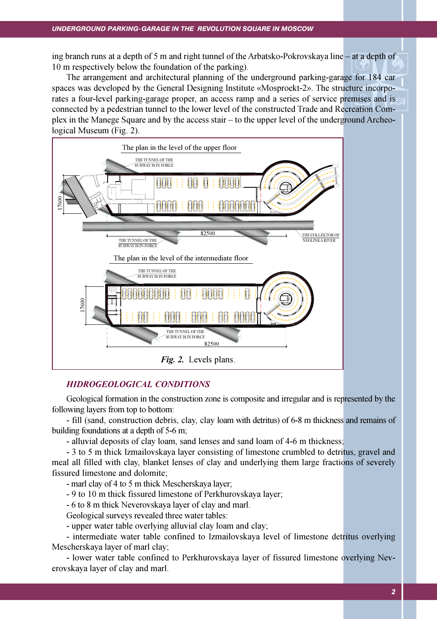ing branch runs at a depth of 5 m and right tunnel of the Arbatsko-Pokrovskaya line – at a depth of 10 m respectively below the foundation of the parking).

The arrangement and architectural planning of the underground parking-garage for 184 car spaces was developed by the General Designing Institute «Mosproekt-2». The structure incorporates a four-level parking-garage proper, an access ramp and a series of service premises and is connected by a pedestrian tunnel to the lower level of the constructed Trade and Recreation Complex in the Manege Square and by the access stair – to the upper level of the underground Archeological Museum (Fig. 2).



### HIDROGEOLOGICAL CONDITIONS

Geological formation in the construction zone is composite and irregular and is represented by the following layers from top to bottom:

- fill (sand, construction debris, clay, clay loam with detritus) of 6-8 m thickness and remains of building foundations at a depth of 5-6 m;

- alluvial deposits of clay loam, sand lenses and sand loam of 4-6 m thickness;

- 3 to 5 m thick Izmailovskaya layer consisting of limestone crumbled to detritus, gravel and meal all filled with clay, blanket lenses of clay and underlying them large fractions of severely fissured limestone and dolomite;

- marl clay of 4 to 5 m thick Mescherskaya layer;

- 9 to 10 m thick fissured limestone of Perkhurovskaya layer;

- 6 to 8 m thick Neverovskaya layer of clay and marl.

Geological surveys revealed three water tables:

- upper water table overlying alluvial clay loam and clay;

- intermediate water table confined to Izmailovskaya level of limestone detritus overlying Mescherskaya layer of marl clay;

- lower water table confined to Perkhurovskaya layer of fissured limestone overlying Neverovskaya layer of clay and marl.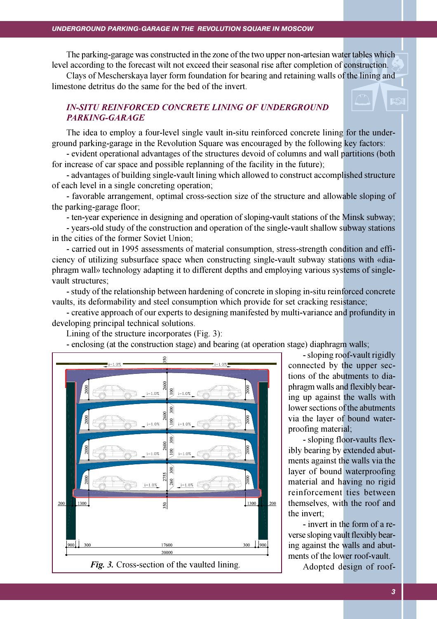#### UNDERGROUND PARKING-GARAGE IN THE REVOLUTION SQUARE IN MOSCOW

The parking-garage was constructed in the zone of the two upper non-artesian water tables which level according to the forecast wilt not exceed their seasonal rise after completion of construction.

Clays of Mescherskaya layer form foundation for bearing and retaining walls of the lining and limestone detritus do the same for the bed of the invert.

## IN-SITU REINFORCED CONCRETE LINING OF UNDERGROUND PARKING-GARAGE

The idea to employ a four-level single vault in-situ reinforced concrete lining for the underground parking-garage in the Revolution Square was encouraged by the following key factors:

- evident operational advantages of the structures devoid of columns and wall partitions (both for increase of car space and possible replanning of the facility in the future);

- advantages of building single-vault lining which allowed to construct accomplished structure of each level in a single concreting operation;

- favorable arrangement, optimal cross-section size of the structure and allowable sloping of the parking-garage floor;

- ten-year experience in designing and operation of sloping-vault stations of the Minsk subway;

- years-old study of the construction and operation of the single-vault shallow subway stations in the cities of the former Soviet Union;

- carried out in 1995 assessments of material consumption, stress-strength condition and efficiency of utilizing subsurface space when constructing single-vault subway stations with «diaphragm wall» technology adapting it to different depths and employing various systems of singlevault structures;

- study of the relationship between hardening of concrete in sloping in-situ reinforced concrete vaults, its deformability and steel consumption which provide for set cracking resistance;

- creative approach of our experts to designing manifested by multi-variance and profundity in developing principal technical solutions.

Lining of the structure incorporates (Fig. 3):

- enclosing (at the construction stage) and bearing (at operation stage) diaphragm walls;



- sloping roof-vault rigidly connected by the upper sections of the abutments to diaphragm walls and flexibly bearing up against the walls with lower sections of the abutments via the layer of bound waterproofing material;

- sloping floor-vaults flexibly bearing by extended abutments against the walls via the layer of bound waterproofing material and having no rigid reinforcement ties between themselves, with the roof and the invert;

- invert in the form of a reverse sloping vault flexibly bearing against the walls and abutments of the lower roof-vault.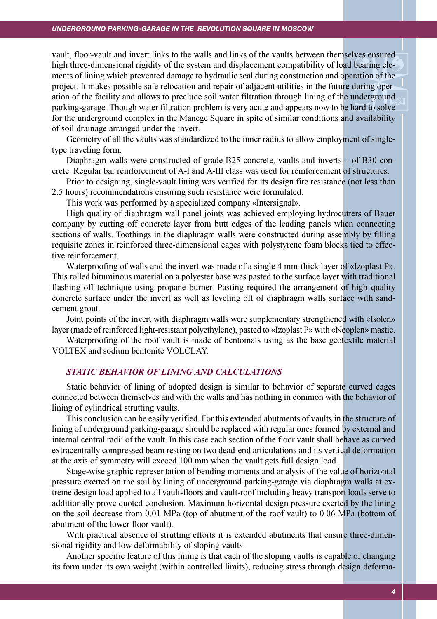#### UNDERGROUND PARKING-GARAGE IN THE REVOLUTION SQUARE IN MOSCOW

vault, floor-vault and invert links to the walls and links of the vaults between themselves ensured high three-dimensional rigidity of the system and displacement compatibility of load bearing elements of lining which prevented damage to hydraulic seal during construction and operation of the project. It makes possible safe relocation and repair of adjacent utilities in the future during operation of the facility and allows to preclude soil water filtration through lining of the underground parking-garage. Though water filtration problem is very acute and appears now to be hard to solve for the underground complex in the Manege Square in spite of similar conditions and availability of soil drainage arranged under the invert.

Geometry of all the vaults was standardized to the inner radius to allow employment of singletype traveling form.

Diaphragm walls were constructed of grade B25 concrete, vaults and inverts – of B30 concrete. Regular bar reinforcement of A-I and A-III class was used for reinforcement of structures.

Prior to designing, single-vault lining was verified for its design fire resistance (not less than 2.5 hours) recommendations ensuring such resistance were formulated.

This work was performed by a specialized company «Intersignal».

High quality of diaphragm wall panel joints was achieved employing hydrocutters of Bauer company by cutting off concrete layer from butt edges of the leading panels when connecting sections of walls. Toothings in the diaphragm walls were constructed during assembly by filling requisite zones in reinforced three-dimensional cages with polystyrene foam blocks tied to effective reinforcement.

Waterproofing of walls and the invert was made of a single 4 mm-thick layer of «Izoplast P». This rolled bituminous material on a polyester base was pasted to the surface layer with traditional flashing off technique using propane burner. Pasting required the arrangement of high quality concrete surface under the invert as well as leveling off of diaphragm walls surface with sandcement grout.

Joint points of the invert with diaphragm walls were supplementary strengthened with «Isolen» layer (made of reinforced light-resistant polyethylene), pasted to «Izoplast P» with «Neoplen» mastic.

Waterproofing of the roof vault is made of bentomats using as the base geotextile material VOLTEX and sodium bentonite VOLCLAY.

#### STATIC BEHAVIOR OF LINING AND CALCULATIONS

Static behavior of lining of adopted design is similar to behavior of separate curved cages connected between themselves and with the walls and has nothing in common with the behavior of lining of cylindrical strutting vaults.

This conclusion can be easily verified. For this extended abutments of vaults in the structure of lining of underground parking-garage should be replaced with regular ones formed by external and internal central radii of the vault. In this case each section of the floor vault shall behave as curved extracentrally compressed beam resting on two dead-end articulations and its vertical deformation at the axis of symmetry will exceed 100 mm when the vault gets full design load.

Stage-wise graphic representation of bending moments and analysis of the value of horizontal pressure exerted on the soil by lining of underground parking-garage via diaphragm walls at extreme design load applied to all vault-floors and vault-roof including heavy transport loads serve to additionally prove quoted conclusion. Maximum horizontal design pressure exerted by the lining on the soil decrease from 0.01 MPa (top of abutment of the roof vault) to 0.06 MPa (bottom of abutment of the lower floor vault).

With practical absence of strutting efforts it is extended abutments that ensure three-dimensional rigidity and low deformability of sloping vaults.

Another specific feature of this lining is that each of the sloping vaults is capable of changing its form under its own weight (within controlled limits), reducing stress through design deforma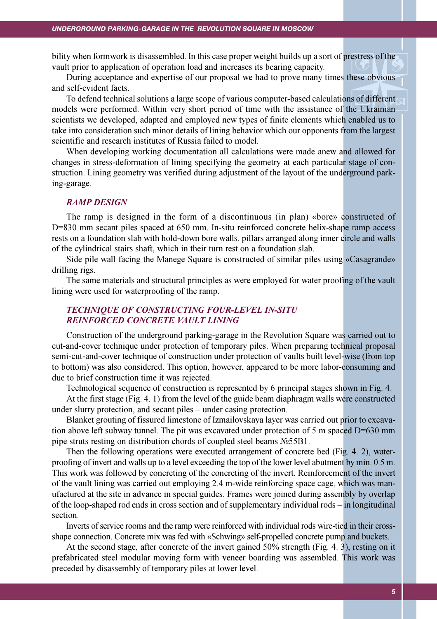bility when formwork is disassembled. In this case proper weight builds up a sort of prestress of the vault prior to application of operation load and increases its bearing capacity.

During acceptance and expertise of our proposal we had to prove many times these obvious and self-evident facts.

To defend technical solutions a large scope of various computer-based calculations of different models were performed. Within very short period of time with the assistance of the Ukrainian scientists we developed, adapted and employed new types of finite elements which enabled us to take into consideration such minor details of lining behavior which our opponents from the largest scientific and research institutes of Russia failed to model.

When developing working documentation all calculations were made anew and allowed for changes in stress-deformation of lining specifying the geometry at each particular stage of construction. Lining geometry was verified during adjustment of the layout of the underground parking-garage.

#### RAMP DESIGN

The ramp is designed in the form of a discontinuous (in plan) «bore» constructed of D=830 mm secant piles spaced at 650 mm. In-situ reinforced concrete helix-shape ramp access rests on a foundation slab with hold-down bore walls, pillars arranged along inner circle and walls of the cylindrical stairs shaft, which in their turn rest on a foundation slab.

Side pile wall facing the Manege Square is constructed of similar piles using «Casagrande» drilling rigs.

The same materials and structural principles as were employed for water proofing of the vault lining were used for waterproofing of the ramp.

# TECHNIQUE OF CONSTRUCTING FOUR-LEVEL IN-SITU REINFORCED CONCRETE VAULT LINING

Construction of the underground parking-garage in the Revolution Square was carried out to cut-and-cover technique under protection of temporary piles. When preparing technical proposal semi-cut-and-cover technique of construction under protection of vaults built level-wise (from top to bottom) was also considered. This option, however, appeared to be more labor-consuming and due to brief construction time it was rejected.

Technological sequence of construction is represented by 6 principal stages shown in Fig. 4.

At the first stage (Fig. 4. 1) from the level of the guide beam diaphragm walls were constructed under slurry protection, and secant piles – under casing protection.

Blanket grouting of fissured limestone of Izmailovskaya layer was carried out prior to excavation above left subway tunnel. The pit was excavated under protection of 5 m spaced D=630 mm pipe struts resting on distribution chords of coupled steel beams  $N_2$ 55B1.

Then the following operations were executed arrangement of concrete bed (Fig. 4. 2), waterproofing of invert and walls up to a level exceeding the top of the lower level abutment by min. 0.5 m. This work was followed by concreting of the concreting of the invert. Reinforcement of the invert of the vault lining was carried out employing 2.4 m-wide reinforcing space cage, which was manufactured at the site in advance in special guides. Frames were joined during assembly by overlap of the loop-shaped rod ends in cross section and of supplementary individual rods – in longitudinal section.

Inverts of service rooms and the ramp were reinforced with individual rods wire-tied in their crossshape connection. Concrete mix was fed with «Schwing» self-propelled concrete pump and buckets.

At the second stage, after concrete of the invert gained 50% strength (Fig. 4. 3), resting on it prefabricated steel modular moving form with veneer boarding was assembled. This work was preceded by disassembly of temporary piles at lower level.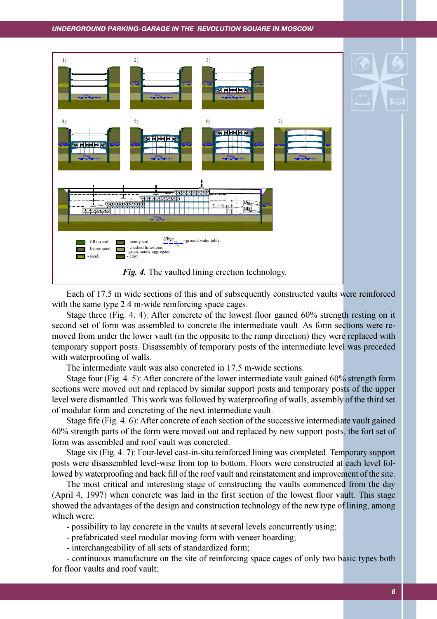#### UNDERGROUND PARKING-GARAGE IN THE REVOLUTION SQUARE IN MOSCOW



Each of 17.5 m wide sections of this and of subsequently constructed vaults were reinforced with the same type 2.4 m-wide reinforcing space cages.

Stage three (Fig. 4. 4): After concrete of the lowest floor gained 60% strength resting on it second set of form was assembled to concrete the intermediate vault. As form sections were removed from under the lower vault (in the opposite to the ramp direction) they were replaced with temporary support posts. Disassembly of temporary posts of the intermediate level was preceded with waterproofing of walls.

The intermediate vault was also concreted in 17.5 m-wide sections.

Stage four (Fig. 4. 5): After concrete of the lower intermediate vault gained 60% strength form sections were moved out and replaced by similar support posts and temporary posts of the upper level were dismantled. This work was followed by waterproofing of walls, assembly of the third set of modular form and concreting of the next intermediate vault.

Stage fife (Fig. 4. 6): After concrete of each section of the successive intermediate vault gained 60% strength parts of the form were moved out and replaced by new support posts, the fort set of form was assembled and roof vault was concreted.

Stage six (Fig. 4. 7): Four-level cast-in-situ reinforced lining was completed. Temporary support posts were disassembled level-wise from top to bottom. Floors were constructed at each level followed by waterproofing and back fill of the roof vault and reinstatement and improvement of the site.

The most critical and interesting stage of constructing the vaults commenced from the day (April 4, 1997) when concrete was laid in the first section of the lowest floor vault. This stage showed the advantages of the design and construction technology of the new type of lining, among which were:

- possibility to lay concrete in the vaults at several levels concurrently using;

- prefabricated steel modular moving form with veneer boarding;

- interchangeability of all sets of standardized form;

- continuous manufacture on the site of reinforcing space cages of only two basic types both for floor vaults and roof vault;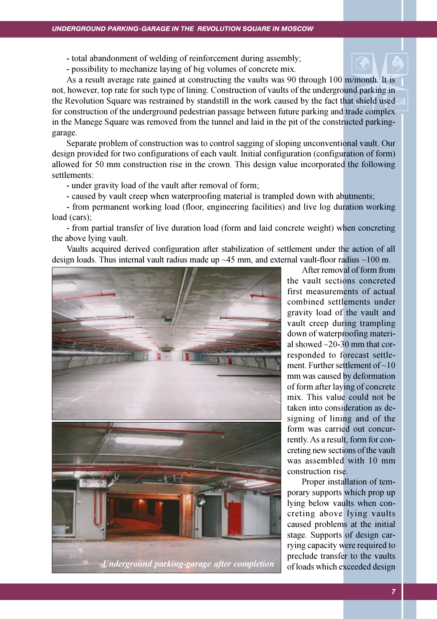- total abandonment of welding of reinforcement during assembly;

- possibility to mechanize laying of big volumes of concrete mix.

As a result average rate gained at constructing the vaults was 90 through 100 m/month. It is not, however, top rate for such type of lining. Construction of vaults of the underground parking in the Revolution Square was restrained by standstill in the work caused by the fact that shield used for construction of the underground pedestrian passage between future parking and trade complex in the Manege Square was removed from the tunnel and laid in the pit of the constructed parkinggarage.

Separate problem of construction was to control sagging of sloping unconventional vault. Our design provided for two configurations of each vault. Initial configuration (configuration of form) allowed for 50 mm construction rise in the crown. This design value incorporated the following settlements:

- under gravity load of the vault after removal of form;

- caused by vault creep when waterproofing material is trampled down with abutments;

- from permanent working load (floor, engineering facilities) and live log duration working load (cars);

- from partial transfer of live duration load (form and laid concrete weight) when concreting the above lying vault.

Vaults acquired derived configuration after stabilization of settlement under the action of all design loads. Thus internal vault radius made up  $\sim$  45 mm, and external vault-floor radius  $\sim$  100 m.



After removal of form from the vault sections concreted first measurements of actual combined settlements under gravity load of the vault and vault creep during trampling down of waterproofing material showed  $\sim$ 20-30 mm that corresponded to forecast settlement. Further settlement of  $\sim 10$ mm was caused by deformation of form after laying of concrete mix. This value could not be taken into consideration as designing of lining and of the form was carried out concurrently. As a result, form for concreting new sections of the vault was assembled with 10 mm construction rise.

Proper installation of temporary supports which prop up lying below vaults when concreting above lying vaults caused problems at the initial stage. Supports of design carrying capacity were required to